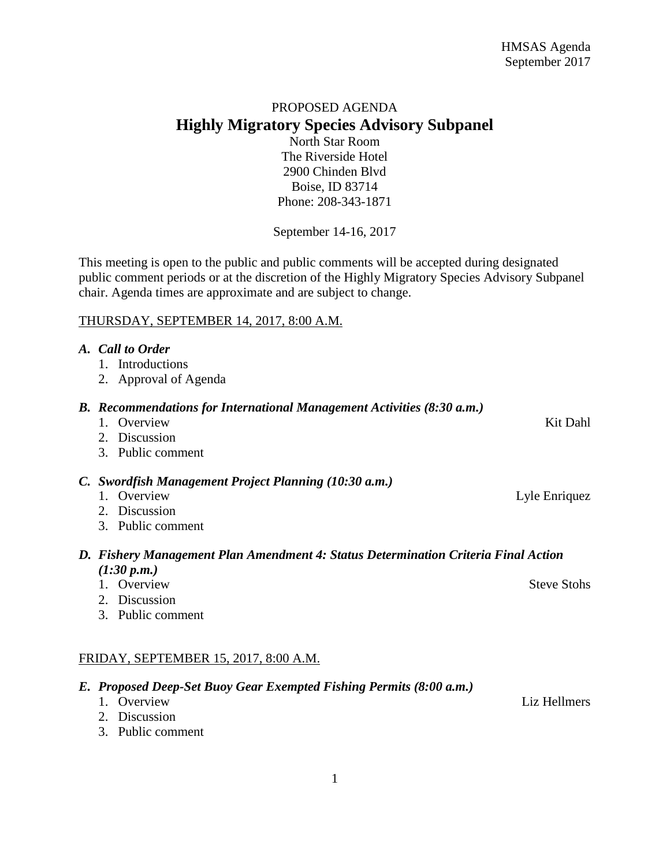# PROPOSED AGENDA **Highly Migratory Species Advisory Subpanel**

North Star Room The Riverside Hotel 2900 Chinden Blvd Boise, ID 83714 Phone: 208-343-1871

September 14-16, 2017

This meeting is open to the public and public comments will be accepted during designated public comment periods or at the discretion of the Highly Migratory Species Advisory Subpanel chair. Agenda times are approximate and are subject to change.

#### THURSDAY, SEPTEMBER 14, 2017, 8:00 A.M.

#### *A. Call to Order*

- 1. Introductions
- 2. Approval of Agenda

#### *B. Recommendations for International Management Activities (8:30 a.m.)*

- 1. Overview Kit Dahl 2. Discussion 3. Public comment *C. Swordfish Management Project Planning (10:30 a.m.)*
	- 2. Discussion
	- 3. Public comment

### *D. Fishery Management Plan Amendment 4: Status Determination Criteria Final Action (1:30 p.m.)*

- 1. Overview Steve Stohs
- 2. Discussion
- 3. Public comment

## FRIDAY, SEPTEMBER 15, 2017, 8:00 A.M.

### *E. Proposed Deep-Set Buoy Gear Exempted Fishing Permits (8:00 a.m.)*

- 1. Overview Liz Hellmers 2. Discussion
- 3. Public comment

Lyle Enriquez